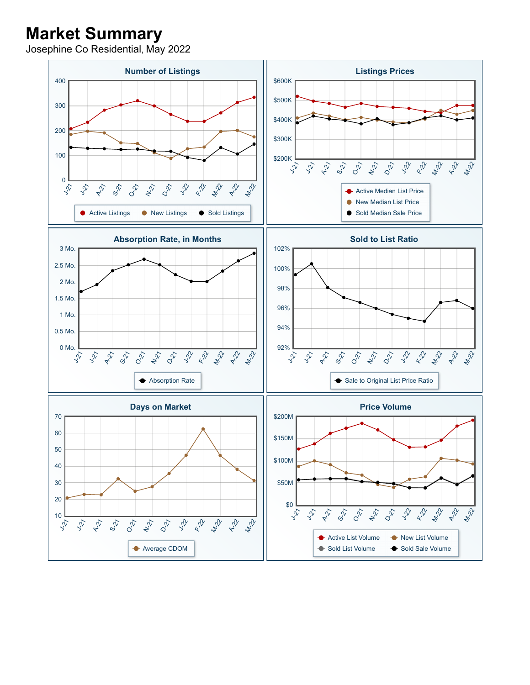## **Market Summary**

Josephine Co Residential, May 2022

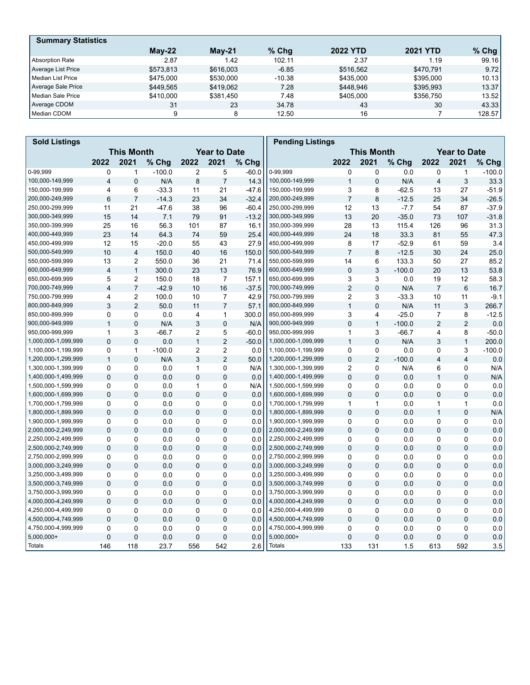| <b>Summary Statistics</b> |           |           |          |                 |                 |        |
|---------------------------|-----------|-----------|----------|-----------------|-----------------|--------|
|                           | $M$ ay-22 | $Mav-21$  | $%$ Chq  | <b>2022 YTD</b> | <b>2021 YTD</b> | % Chg  |
| <b>Absorption Rate</b>    | 2.87      | 1.42      | 102.11   | 2.37            | 1.19            | 99.16  |
| Average List Price        | \$573.813 | \$616,003 | $-6.85$  | \$516.562       | \$470.791       | 9.72   |
| l Median List Price       | \$475,000 | \$530,000 | $-10.38$ | \$435,000       | \$395,000       | 10.13  |
| Average Sale Price        | \$449.565 | \$419.062 | 7.28     | \$448.946       | \$395,993       | 13.37  |
| Median Sale Price         | \$410,000 | \$381.450 | 7.48     | \$405.000       | \$356.750       | 13.52  |
| Average CDOM              | 31        | 23        | 34.78    | 43              | 30              | 43.33  |
| Median CDOM               | 9         | 8         | 12.50    | 16              |                 | 128.57 |

| <b>Sold Listings</b> |                                          |                |          |              |                |                   | <b>Pending Listings</b> |                     |                |          |                |                |          |
|----------------------|------------------------------------------|----------------|----------|--------------|----------------|-------------------|-------------------------|---------------------|----------------|----------|----------------|----------------|----------|
|                      | <b>This Month</b><br><b>Year to Date</b> |                |          |              |                | <b>This Month</b> |                         | <b>Year to Date</b> |                |          |                |                |          |
|                      | 2022                                     | 2021           | % Chg    | 2022         | 2021           | % Chg             |                         | 2022                | 2021           | % Chg    | 2022           | 2021           | % Chg    |
| 0-99.999             | 0                                        | $\mathbf{1}$   | $-100.0$ | 2            | 5              | $-60.0$           | 0-99.999                | 0                   | 0              | 0.0      | 0              | $\mathbf{1}$   | $-100.0$ |
| 100,000-149,999      | $\overline{\mathbf{4}}$                  | $\mathbf 0$    | N/A      | 8            | $\overline{7}$ | 14.3              | 100,000-149,999         | $\mathbf{1}$        | $\Omega$       | N/A      | $\overline{4}$ | 3              | 33.3     |
| 150,000-199,999      | 4                                        | 6              | $-33.3$  | 11           | 21             | $-47.6$           | 150,000-199,999         | 3                   | 8              | $-62.5$  | 13             | 27             | $-51.9$  |
| 200,000-249,999      | 6                                        | $\overline{7}$ | $-14.3$  | 23           | 34             | $-32.4$           | 200,000-249,999         | $\overline{7}$      | 8              | $-12.5$  | 25             | 34             | $-26.5$  |
| 250,000-299,999      | 11                                       | 21             | $-47.6$  | 38           | 96             | $-60.4$           | 250,000-299,999         | 12                  | 13             | $-7.7$   | 54             | 87             | $-37.9$  |
| 300,000-349,999      | 15                                       | 14             | 7.1      | 79           | 91             | $-13.2$           | 300,000-349,999         | 13                  | 20             | $-35.0$  | 73             | 107            | $-31.8$  |
| 350,000-399,999      | 25                                       | 16             | 56.3     | 101          | 87             | 16.1              | 350,000-399,999         | 28                  | 13             | 115.4    | 126            | 96             | 31.3     |
| 400,000-449,999      | 23                                       | 14             | 64.3     | 74           | 59             | 25.4              | 400,000-449,999         | 24                  | 18             | 33.3     | 81             | 55             | 47.3     |
| 450,000-499,999      | 12                                       | 15             | $-20.0$  | 55           | 43             | 27.9              | 450,000-499,999         | 8                   | 17             | $-52.9$  | 61             | 59             | 3.4      |
| 500,000-549,999      | 10                                       | $\overline{4}$ | 150.0    | 40           | 16             | 150.0             | 500,000-549,999         | $\overline{7}$      | 8              | $-12.5$  | 30             | 24             | 25.0     |
| 550,000-599,999      | 13                                       | $\overline{c}$ | 550.0    | 36           | 21             | 71.4              | 550,000-599,999         | 14                  | 6              | 133.3    | 50             | 27             | 85.2     |
| 600,000-649,999      | $\overline{\mathbf{4}}$                  | $\mathbf{1}$   | 300.0    | 23           | 13             | 76.9              | 600,000-649,999         | $\Omega$            | 3              | $-100.0$ | 20             | 13             | 53.8     |
| 650,000-699,999      | 5                                        | $\overline{2}$ | 150.0    | 18           | $\overline{7}$ | 157.1             | 650,000-699,999         | 3                   | 3              | 0.0      | 19             | 12             | 58.3     |
| 700,000-749,999      | $\overline{4}$                           | $\overline{7}$ | $-42.9$  | 10           | 16             | $-37.5$           | 700,000-749,999         | $\overline{2}$      | 0              | N/A      | $\overline{7}$ | 6              | 16.7     |
| 750,000-799,999      | 4                                        | $\overline{2}$ | 100.0    | 10           | $\overline{7}$ | 42.9              | 750,000-799,999         | 2                   | 3              | $-33.3$  | 10             | 11             | $-9.1$   |
| 800,000-849,999      | 3                                        | $\overline{2}$ | 50.0     | 11           | $\overline{7}$ | 57.1              | 800,000-849,999         | $\mathbf{1}$        | $\mathbf 0$    | N/A      | 11             | 3              | 266.7    |
| 850,000-899,999      | $\Omega$                                 | 0              | 0.0      | 4            | $\mathbf{1}$   | 300.0             | 850,000-899,999         | 3                   | 4              | $-25.0$  | $\overline{7}$ | 8              | $-12.5$  |
| 900,000-949,999      | $\mathbf{1}$                             | $\mathbf 0$    | N/A      | 3            | 0              | N/A               | 900,000-949,999         | $\overline{0}$      | $\mathbf{1}$   | $-100.0$ | $\overline{2}$ | 2              | 0.0      |
| 950,000-999,999      | $\mathbf{1}$                             | 3              | $-66.7$  | 2            | 5              | $-60.0$           | 950,000-999,999         | $\mathbf{1}$        | 3              | $-66.7$  | 4              | 8              | $-50.0$  |
| 1,000,000-1,099,999  | $\Omega$                                 | $\Omega$       | 0.0      | $\mathbf{1}$ | $\overline{2}$ | $-50.0$           | 1,000,000-1,099,999     | $\mathbf{1}$        | $\mathbf 0$    | N/A      | 3              | $\mathbf{1}$   | 200.0    |
| 1,100,000-1,199,999  | 0                                        | $\mathbf{1}$   | $-100.0$ | 2            | 2              | 0.0               | 1,100,000-1,199,999     | 0                   | 0              | 0.0      | 0              | 3              | $-100.0$ |
| 1,200,000-1,299,999  | $\mathbf{1}$                             | $\mathbf 0$    | N/A      | 3            | $\overline{2}$ | 50.0              | 1,200,000-1,299,999     | $\pmb{0}$           | $\overline{2}$ | $-100.0$ | $\overline{4}$ | $\overline{4}$ | 0.0      |
| 1,300,000-1,399,999  | 0                                        | $\mathbf{0}$   | 0.0      | $\mathbf{1}$ | 0              | N/A               | 1,300,000-1,399,999     | $\overline{2}$      | $\Omega$       | N/A      | 6              | $\Omega$       | N/A      |
| 1,400,000-1,499,999  | $\mathbf 0$                              | $\Omega$       | 0.0      | 0            | $\overline{0}$ | 0.0               | 1,400,000-1,499,999     | $\mathbf 0$         | 0              | 0.0      | $\mathbf{1}$   | $\mathbf 0$    | N/A      |
| 1,500,000-1,599,999  | 0                                        | $\mathbf 0$    | 0.0      | $\mathbf{1}$ | 0              | N/A               | 1,500,000-1,599,999     | 0                   | 0              | 0.0      | $\mathbf 0$    | $\mathbf 0$    | 0.0      |
| 1,600,000-1,699,999  | 0                                        | $\mathbf 0$    | 0.0      | 0            | 0              | 0.0               | 1,600,000-1,699,999     | $\Omega$            | $\mathbf 0$    | 0.0      | $\mathbf 0$    | $\mathbf 0$    | 0.0      |
| 1,700,000-1,799,999  | 0                                        | 0              | 0.0      | 0            | 0              | 0.0               | 1,700,000-1,799,999     | 1                   | 1              | 0.0      | 1              | 1              | 0.0      |
| 1,800,000-1,899,999  | $\mathbf{0}$                             | $\mathbf{0}$   | 0.0      | $\mathbf{0}$ | 0              | 0.0               | 1,800,000-1,899,999     | $\overline{0}$      | $\Omega$       | 0.0      | $\mathbf{1}$   | $\Omega$       | N/A      |
| 1,900,000-1,999,999  | 0                                        | $\mathbf 0$    | 0.0      | 0            | 0              | 0.0               | 1,900,000-1,999,999     | $\mathbf 0$         | 0              | 0.0      | 0              | 0              | 0.0      |
| 2,000,000-2,249,999  | $\mathbf{0}$                             | $\mathbf{0}$   | 0.0      | $\mathbf{0}$ | $\overline{0}$ | 0.0               | 2,000,000-2,249,999     | $\overline{0}$      | $\Omega$       | 0.0      | $\mathbf 0$    | $\Omega$       | 0.0      |
| 2,250,000-2,499,999  | 0                                        | $\mathbf 0$    | 0.0      | 0            | 0              | 0.0               | 2,250,000-2,499,999     | 0                   | 0              | 0.0      | 0              | 0              | 0.0      |
| 2,500,000-2,749,999  | $\mathbf 0$                              | $\mathbf 0$    | 0.0      | 0            | 0              | 0.0               | 2,500,000-2,749,999     | 0                   | $\mathbf 0$    | 0.0      | $\mathbf 0$    | $\mathbf 0$    | 0.0      |
| 2,750,000-2,999,999  | 0                                        | $\mathbf 0$    | 0.0      | 0            | 0              | 0.0               | 2,750,000-2,999,999     | 0                   | $\mathbf 0$    | 0.0      | $\mathbf 0$    | $\mathbf 0$    | 0.0      |
| 3,000,000-3,249,999  | $\Omega$                                 | $\Omega$       | 0.0      | 0            | $\overline{0}$ | 0.0               | 3,000,000-3,249,999     | $\mathbf 0$         | 0              | 0.0      | $\mathbf 0$    | $\Omega$       | 0.0      |
| 3,250,000-3,499,999  | 0                                        | $\mathbf 0$    | 0.0      | 0            | 0              | 0.0               | 3,250,000-3,499,999     | 0                   | 0              | 0.0      | $\mathbf 0$    | $\mathbf 0$    | 0.0      |
| 3,500,000-3,749,999  | $\Omega$                                 | $\mathbf 0$    | 0.0      | 0            | 0              | 0.0               | 3,500,000-3,749,999     | $\mathbf{0}$        | $\Omega$       | 0.0      | $\mathbf{0}$   | $\mathbf{0}$   | 0.0      |
| 3,750,000-3,999,999  | 0                                        | $\mathbf 0$    | 0.0      | 0            | 0              | 0.0               | 3,750,000-3,999,999     | 0                   | 0              | 0.0      | 0              | 0              | 0.0      |
| 4,000,000-4,249,999  | $\mathbf 0$                              | $\mathbf 0$    | 0.0      | 0            | 0              | 0.0               | 4,000,000-4,249,999     | 0                   | $\mathbf 0$    | 0.0      | $\mathbf 0$    | $\mathbf 0$    | 0.0      |
| 4,250,000-4,499,999  | $\Omega$                                 | $\mathbf{0}$   | 0.0      | 0            | 0              | 0.0               | 4,250,000-4,499,999     | $\Omega$            | 0              | 0.0      | $\Omega$       | $\Omega$       | 0.0      |
| 4,500,000-4,749,999  | $\mathbf{0}$                             | $\mathbf{0}$   | 0.0      | $\mathbf{0}$ | $\overline{0}$ | 0.0               | 4,500,000-4,749,999     | $\overline{0}$      | $\Omega$       | 0.0      | $\overline{0}$ | $\Omega$       | 0.0      |
| 4,750,000-4,999,999  | 0                                        | $\mathbf 0$    | 0.0      | 0            | 0              | 0.0               | 4,750,000-4,999,999     | 0                   | 0              | 0.0      | 0              | 0              | 0.0      |
| 5,000,000+           | 0                                        | $\mathbf 0$    | 0.0      | 0            | 0              | 0.0               | $5,000,000+$            | 0                   | $\mathbf 0$    | 0.0      | $\mathbf 0$    | $\mathbf 0$    | 0.0      |
| <b>Totals</b>        | 146                                      | 118            | 23.7     | 556          | 542            | 2.6               | Totals                  | 133                 | 131            | 1.5      | 613            | 592            | 3.5      |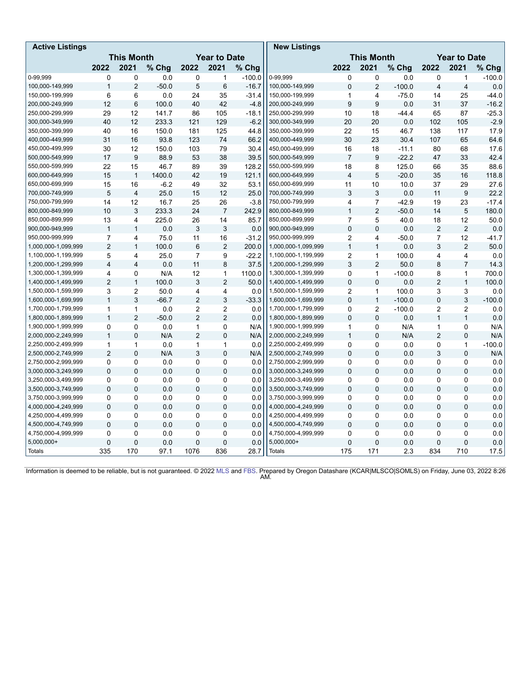| <b>Active Listings</b> |                                          |                         |         |                |                |          | <b>New Listings</b> |                |                |                     |                         |                |          |
|------------------------|------------------------------------------|-------------------------|---------|----------------|----------------|----------|---------------------|----------------|----------------|---------------------|-------------------------|----------------|----------|
|                        | <b>This Month</b><br><b>Year to Date</b> |                         |         |                |                |          | <b>This Month</b>   |                |                | <b>Year to Date</b> |                         |                |          |
|                        | 2022                                     | 2021                    | % Chg   | 2022           | 2021           | % Chg    |                     | 2022           | 2021           | % Chg               | 2022                    | 2021           | % Chg    |
| 0-99,999               | 0                                        | 0                       | 0.0     | $\mathbf 0$    | 1              | $-100.0$ | 0-99.999            | 0              | 0              | 0.0                 | $\mathbf 0$             | 1              | $-100.0$ |
| 100,000-149,999        | $\mathbf{1}$                             | $\overline{2}$          | $-50.0$ | 5              | 6              | $-16.7$  | 100,000-149,999     | $\mathbf 0$    | $\overline{2}$ | $-100.0$            | $\overline{\mathbf{4}}$ | $\overline{4}$ | 0.0      |
| 150,000-199,999        | 6                                        | 6                       | 0.0     | 24             | 35             | $-31.4$  | 150,000-199,999     | $\mathbf{1}$   | 4              | $-75.0$             | 14                      | 25             | $-44.0$  |
| 200,000-249,999        | 12                                       | 6                       | 100.0   | 40             | 42             | $-4.8$   | 200,000-249,999     | 9              | 9              | 0.0                 | 31                      | 37             | $-16.2$  |
| 250,000-299,999        | 29                                       | 12                      | 141.7   | 86             | 105            | $-18.1$  | 250,000-299,999     | 10             | 18             | $-44.4$             | 65                      | 87             | $-25.3$  |
| 300,000-349,999        | 40                                       | 12                      | 233.3   | 121            | 129            | $-6.2$   | 300,000-349,999     | 20             | 20             | 0.0                 | 102                     | 105            | $-2.9$   |
| 350,000-399,999        | 40                                       | 16                      | 150.0   | 181            | 125            | 44.8     | 350,000-399,999     | 22             | 15             | 46.7                | 138                     | 117            | 17.9     |
| 400,000-449,999        | 31                                       | 16                      | 93.8    | 123            | 74             | 66.2     | 400,000-449,999     | 30             | 23             | 30.4                | 107                     | 65             | 64.6     |
| 450.000-499.999        | 30                                       | 12                      | 150.0   | 103            | 79             | 30.4     | 450,000-499,999     | 16             | 18             | $-11.1$             | 80                      | 68             | 17.6     |
| 500,000-549,999        | 17                                       | 9                       | 88.9    | 53             | 38             | 39.5     | 500,000-549,999     | $\overline{7}$ | 9              | $-22.2$             | 47                      | 33             | 42.4     |
| 550,000-599,999        | 22                                       | 15                      | 46.7    | 89             | 39             | 128.2    | 550,000-599,999     | 18             | 8              | 125.0               | 66                      | 35             | 88.6     |
| 600,000-649,999        | 15                                       | $\mathbf{1}$            | 1400.0  | 42             | 19             | 121.1    | 600,000-649,999     | $\overline{4}$ | 5              | $-20.0$             | 35                      | 16             | 118.8    |
| 650,000-699,999        | 15                                       | 16                      | $-6.2$  | 49             | 32             | 53.1     | 650,000-699,999     | 11             | 10             | 10.0                | 37                      | 29             | 27.6     |
| 700,000-749,999        | 5                                        | $\overline{4}$          | 25.0    | 15             | 12             | 25.0     | 700,000-749,999     | 3              | 3              | 0.0                 | 11                      | 9              | 22.2     |
| 750,000-799,999        | 14                                       | 12                      | 16.7    | 25             | 26             | $-3.8$   | 750,000-799,999     | $\overline{4}$ | $\overline{7}$ | $-42.9$             | 19                      | 23             | $-17.4$  |
| 800,000-849,999        | 10                                       | 3                       | 233.3   | 24             | $\overline{7}$ | 242.9    | 800,000-849,999     | $\mathbf{1}$   | $\overline{2}$ | $-50.0$             | 14                      | 5              | 180.0    |
| 850,000-899,999        | 13                                       | 4                       | 225.0   | 26             | 14             | 85.7     | 850,000-899,999     | $\overline{7}$ | 5              | 40.0                | 18                      | 12             | 50.0     |
| 900,000-949,999        | $\mathbf{1}$                             | $\mathbf{1}$            | 0.0     | 3              | $\mathsf 3$    | 0.0      | 900,000-949,999     | $\mathbf 0$    | $\mathbf 0$    | 0.0                 | $\overline{2}$          | $\overline{2}$ | 0.0      |
| 950,000-999,999        | $\overline{7}$                           | 4                       | 75.0    | 11             | 16             | $-31.2$  | 950,000-999,999     | $\overline{2}$ | 4              | $-50.0$             | $\overline{7}$          | 12             | $-41.7$  |
| 1,000,000-1,099,999    | $\overline{2}$                           | $\mathbf{1}$            | 100.0   | 6              | $\overline{2}$ | 200.0    | 1,000,000-1,099,999 | $\mathbf{1}$   | $\mathbf{1}$   | 0.0                 | 3                       | $\overline{2}$ | 50.0     |
| 1,100,000-1,199,999    | 5                                        | 4                       | 25.0    | $\overline{7}$ | 9              | $-22.2$  | 1,100,000-1,199,999 | $\overline{2}$ | $\mathbf{1}$   | 100.0               | 4                       | 4              | 0.0      |
| 1,200,000-1,299,999    | $\overline{\mathbf{4}}$                  | $\overline{\mathbf{4}}$ | 0.0     | 11             | 8              | 37.5     | 1,200,000-1,299,999 | 3              | $\overline{2}$ | 50.0                | 8                       | $\overline{7}$ | 14.3     |
| 1,300,000-1,399,999    | 4                                        | $\Omega$                | N/A     | 12             | $\mathbf{1}$   | 1100.0   | 1,300,000-1,399,999 | $\Omega$       | $\mathbf{1}$   | $-100.0$            | 8                       | $\mathbf{1}$   | 700.0    |
| 1,400,000-1,499,999    | $\overline{2}$                           | $\mathbf{1}$            | 100.0   | 3              | $\overline{2}$ | 50.0     | 1,400,000-1,499,999 | $\mathbf 0$    | $\Omega$       | 0.0                 | $\overline{2}$          | $\mathbf{1}$   | 100.0    |
| 1,500,000-1,599,999    | 3                                        | $\overline{c}$          | 50.0    | $\overline{4}$ | 4              | 0.0      | 1,500,000-1,599,999 | $\overline{2}$ | $\mathbf{1}$   | 100.0               | 3                       | 3              | 0.0      |
| 1,600,000-1,699,999    | $\mathbf{1}$                             | 3                       | $-66.7$ | $\overline{2}$ | 3              | $-33.3$  | 1,600,000-1,699,999 | $\mathbf 0$    | $\mathbf{1}$   | $-100.0$            | 0                       | 3              | $-100.0$ |
| 1,700,000-1,799,999    | 1                                        | $\mathbf{1}$            | 0.0     | 2              | $\overline{2}$ | 0.0      | 1,700,000-1,799,999 | 0              | $\overline{2}$ | $-100.0$            | $\overline{2}$          | $\overline{2}$ | 0.0      |
| 1,800,000-1,899,999    | $\mathbf{1}$                             | $\overline{2}$          | $-50.0$ | $\overline{2}$ | $\overline{2}$ | 0.0      | 1,800,000-1,899,999 | $\mathbf 0$    | $\mathbf 0$    | 0.0                 | $\mathbf{1}$            | $\mathbf{1}$   | 0.0      |
| 1,900,000-1,999,999    | 0                                        | 0                       | 0.0     | $\mathbf{1}$   | 0              | N/A      | 1,900,000-1,999,999 | $\mathbf{1}$   | 0              | N/A                 | $\mathbf{1}$            | 0              | N/A      |
| 2,000,000-2,249,999    | $\mathbf{1}$                             | $\Omega$                | N/A     | $\overline{2}$ | $\mathbf 0$    | N/A      | 2,000,000-2,249,999 | $\overline{1}$ | $\mathbf 0$    | N/A                 | $\overline{2}$          | 0              | N/A      |
| 2,250,000-2,499,999    | $\mathbf{1}$                             | $\mathbf{1}$            | 0.0     | 1              | $\mathbf{1}$   | 0.0      | 2,250,000-2,499,999 | 0              | 0              | 0.0                 | 0                       | $\mathbf{1}$   | $-100.0$ |
| 2,500,000-2,749,999    | $\overline{2}$                           | 0                       | N/A     | 3              | $\mathsf 0$    | N/A      | 2,500,000-2,749,999 | $\mathbf 0$    | $\mathbf 0$    | 0.0                 | 3                       | 0              | N/A      |
| 2,750,000-2,999,999    | $\Omega$                                 | $\mathbf{0}$            | 0.0     | 0              | 0              | 0.0      | 2,750,000-2,999,999 | $\mathbf{0}$   | 0              | 0.0                 | 0                       | $\mathbf{0}$   | 0.0      |
| 3,000,000-3,249,999    | $\mathbf{0}$                             | $\mathbf{0}$            | 0.0     | 0              | $\mathbf{0}$   | 0.0      | 3,000,000-3,249,999 | $\mathbf{0}$   | $\mathbf 0$    | 0.0                 | 0                       | $\Omega$       | 0.0      |
| 3,250,000-3,499,999    | $\Omega$                                 | $\mathbf 0$             | 0.0     | $\Omega$       | 0              | 0.0      | 3,250,000-3,499,999 | 0              | $\Omega$       | 0.0                 | 0                       | $\mathbf{0}$   | 0.0      |
| 3,500,000-3,749,999    | $\mathbf{0}$                             | $\mathbf 0$             | 0.0     | 0              | $\mathbf 0$    | 0.0      | 3,500,000-3,749,999 | $\Omega$       | $\mathbf 0$    | 0.0                 | $\mathbf{0}$            | $\Omega$       | 0.0      |
| 3,750,000-3,999,999    | $\Omega$                                 | $\mathbf 0$             | 0.0     | 0              | 0              | 0.0      | 3,750,000-3,999,999 | $\mathbf 0$    | 0              | 0.0                 | 0                       | 0              | 0.0      |
| 4,000,000-4,249,999    | $\mathbf 0$                              | $\mathbf 0$             | 0.0     | $\mathbf 0$    | $\mathbf 0$    | 0.0      | 4,000,000-4,249,999 | $\Omega$       | $\mathbf 0$    | 0.0                 | $\mathbf 0$             | 0              | 0.0      |
| 4,250,000-4,499,999    | 0                                        | $\mathbf 0$             | 0.0     | 0              | 0              | 0.0      | 4,250,000-4,499,999 | 0              | 0              | 0.0                 | $\mathbf 0$             | 0              | 0.0      |
| 4,500,000-4,749,999    | $\mathbf{0}$                             | $\Omega$                | 0.0     | $\mathbf 0$    | $\mathbf 0$    | 0.0      | 4,500,000-4,749,999 | $\mathbf 0$    | $\Omega$       | 0.0                 | 0                       | $\Omega$       | 0.0      |
| 4,750,000-4,999,999    | 0                                        | 0                       | 0.0     | 0              | 0              | 0.0      | 4,750,000-4,999,999 | 0              | 0              | 0.0                 | 0                       | 0              | 0.0      |
| $5,000,000+$           | 0                                        | $\pmb{0}$               | 0.0     | 0              | $\mathsf 0$    | 0.0      | 5,000,000+          | $\mathbf 0$    | $\mathbf 0$    | 0.0                 | $\mathbf 0$             | 0              | 0.0      |
| <b>Totals</b>          | 335                                      | 170                     | 97.1    | 1076           | 836            | 28.7     | <b>Totals</b>       | 175            | 171            | 2.3                 | 834                     | 710            | 17.5     |

Information is deemed to be reliable, but is not guaranteed. © 2022 [MLS](http://oregondatashare.com/) and [FBS](http://www.flexmls.com/copyright_notice.html?2). Prepared by Oregon Datashare (KCAR|MLSCO|SOMLS) on Friday, June 03, 2022 8:26 AM.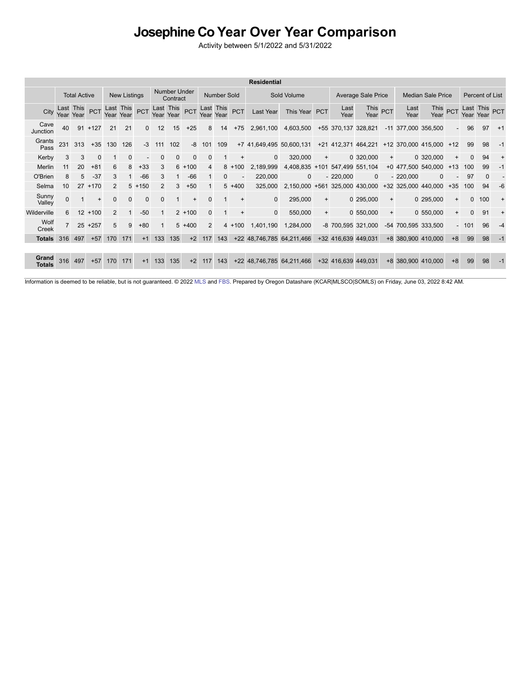## Josephine Co Year Over Year Comparison<br>Activity between 5/1/2022 and 5/31/2022

|                        |              |                        |            |          |                     |            |           |                                 |              |                |                        |           | <b>Residential</b>        |              |            |                     |                     |           |              |                             |                          |              |                                       |      |
|------------------------|--------------|------------------------|------------|----------|---------------------|------------|-----------|---------------------------------|--------------|----------------|------------------------|-----------|---------------------------|--------------|------------|---------------------|---------------------|-----------|--------------|-----------------------------|--------------------------|--------------|---------------------------------------|------|
|                        |              | <b>Total Active</b>    |            |          | <b>New Listings</b> |            |           | <b>Number Under</b><br>Contract |              |                | Number Sold            |           |                           | Sold Volume  |            |                     | Average Sale Price  |           |              | <b>Median Sale Price</b>    |                          |              | Percent of List                       |      |
| City                   |              | Last This<br>Year Year | <b>PCT</b> | Year     | Last This<br>Year   | <b>PCT</b> | Year Year | Last This                       | <b>PCT</b>   |                | Last This<br>Year Year | PCT       | Last Year                 | This Year    | <b>PCT</b> | Last<br>Year        | This PCT<br>Year    |           | Last<br>Year | This <sub>PCT</sub><br>Year |                          |              | Last This <sub>PCT</sub><br>Year Year |      |
| Cave<br>Junction       | 40           |                        | $91 + 127$ | 21       | 21                  | $\Omega$   | 12        | 15                              | $+25$        | 8              | 14                     | $+75$     | 2,961,100                 | 4,603,500    |            | +55 370,137 328,821 |                     |           |              | -11 377,000 356,500         |                          | 96           | 97                                    | $+1$ |
| Grants<br>Pass         | 231          | 313                    | $+35$      | 130      | 126                 | $-3$       | 111       | 102                             | -8           | 101            | 109                    |           | +7 41,649,495 50,600,131  |              |            |                     | +21 412,371 464,221 |           |              | +12 370,000 415,000 +12     |                          | 99           | 98                                    | $-1$ |
| Kerby                  | 3            | 3                      | 0          |          | 0                   |            | 0         | 0                               | $\mathbf{0}$ | 0              |                        | $\ddot{}$ | $\mathbf{0}$              | 320,000      | $\ddot{}$  |                     | 0 320,000           | $\ddot{}$ |              | 0 320,000                   | $\ddot{}$                | $\Omega$     | 94                                    |      |
| Merlin                 |              | 20                     | $+81$      | 6        | 8                   | $+33$      | 3         |                                 | $6 + 100$    | 4              | 8                      | $+100$    | 2,189,999                 | 4,408,835    | $+101$     |                     | 547,499 551,104     |           | $+0$ 477,500 | 540,000                     | $+13$                    | 100          | 99                                    | $-1$ |
| O'Brien                |              | 5                      | $-37$      | 3        |                     | $-66$      | 3         |                                 | $-66$        |                | 0                      |           | 220,000                   | $\mathbf{0}$ |            | $-220,000$          | $\mathbf{0}$        |           | $-220,000$   | $\Omega$                    |                          | 97           | $\Omega$                              |      |
| Selma                  | 10           | 27                     | $+170$     | 2        |                     | $5 + 150$  | 2         | 3                               | $+50$        |                | 5                      | $+400$    | 325,000                   | 2.150.000    | $+561$     |                     | 325,000 430,000     |           | +32 325,000  | 440,000                     | $+35$                    | 100          | 94                                    | -6   |
| Sunny<br>Valley        | $\mathbf{0}$ |                        | $\ddot{}$  | $\Omega$ | $\Omega$            | $\Omega$   | $\Omega$  |                                 | $\ddot{}$    | 0              |                        | $\ddot{}$ | $\mathbf{0}$              | 295,000      | $\ddot{}$  |                     | 0 295,000           | $\ddot{}$ |              | 0 295,000                   | $+$                      | $\mathbf{0}$ | 100                                   |      |
| Wilderville            | 6.           |                        | $12 + 100$ | 2        |                     | $-50$      |           |                                 | $2 + 100$    | 0              |                        | $\ddot{}$ | $\mathbf{0}$              | 550,000      | $+$        |                     | 0 550,000           | $\ddot{}$ |              | 0 550,000                   | $+$                      | $\Omega$     | 91                                    |      |
| Wolf<br>Creek          |              | 25                     | $+257$     | 5        | 9                   | $+80$      |           |                                 | $5 + 400$    | $\overline{2}$ | 4                      | $+100$    | 1,401,190                 | 1,284,000    |            |                     | -8 700,595 321,000  |           |              | -54 700.595 333.500         | $\overline{\phantom{a}}$ | 101          | 96                                    | $-4$ |
| <b>Totals</b>          | 316          | 497                    | $+57$      | 170      | 171                 | $+1$       | 133       | 135                             | $+2$         | 117            | 143                    |           | +22 48,746,785            | 64,211,466   |            | +32 416,639         | 449.031             |           |              | +8 380,900 410,000          | $+8$                     | 99           | 98                                    |      |
|                        |              |                        |            |          |                     |            |           |                                 |              |                |                        |           |                           |              |            |                     |                     |           |              |                             |                          |              |                                       |      |
| <b>Grand</b><br>Totals | 316          | 497                    | $+57$      | 170      | 171                 | $+1$       | 133       | 135                             | $+2$         | 117            | 143                    |           | +22 48,746,785 64,211,466 |              |            | +32 416,639 449,031 |                     |           |              | +8 380,900 410,000          | $+8$                     | 99           | 98                                    |      |

Information is deemed to be reliable, but is not guaranteed. © 2022 [MLS](http://oregondatashare.com/) and [FBS](http://www.flexmls.com/copyright_notice.html?2). Prepared by Oregon Datashare (KCAR|MLSCO|SOMLS) on Friday, June 03, 2022 8:42 AM.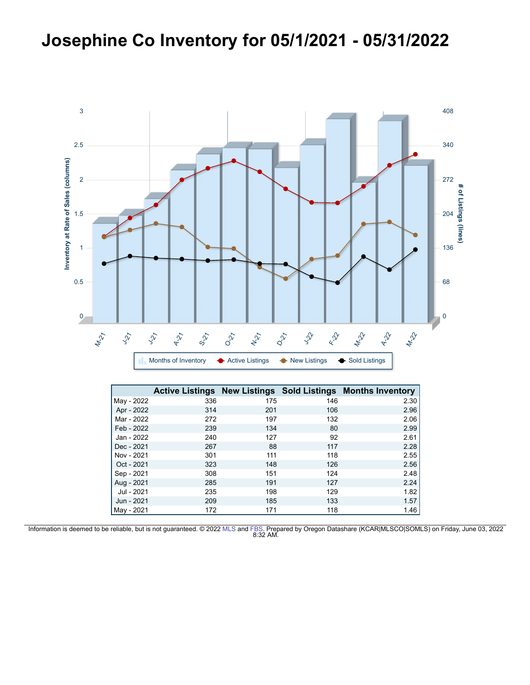## Josephine Co Inventory for 05/1/2021 - 05/31/2022



|            |     |     |     | <b>Active Listings New Listings Sold Listings Months Inventory</b> |
|------------|-----|-----|-----|--------------------------------------------------------------------|
| May - 2022 | 336 | 175 | 146 | 2.30                                                               |
| Apr - 2022 | 314 | 201 | 106 | 2.96                                                               |
| Mar - 2022 | 272 | 197 | 132 | 2.06                                                               |
| Feb - 2022 | 239 | 134 | 80  | 2.99                                                               |
| Jan - 2022 | 240 | 127 | 92  | 2.61                                                               |
| Dec - 2021 | 267 | 88  | 117 | 2.28                                                               |
| Nov - 2021 | 301 | 111 | 118 | 2.55                                                               |
| Oct - 2021 | 323 | 148 | 126 | 2.56                                                               |
| Sep - 2021 | 308 | 151 | 124 | 2.48                                                               |
| Aug - 2021 | 285 | 191 | 127 | 2.24                                                               |
| Jul - 2021 | 235 | 198 | 129 | 1.82                                                               |
| Jun - 2021 | 209 | 185 | 133 | 1.57                                                               |
| May - 2021 | 172 | 171 | 118 | 1.46                                                               |

Information is deemed to be reliable, but is not guaranteed. © 2022 [MLS](http://oregondatashare.com/) and [FBS.](http://www.flexmls.com/copyright_notice.html?2) Prepared by Oregon Datashare (KCAR|MLSCO|SOMLS) on Friday, June 03, 2022 8:32 AM.